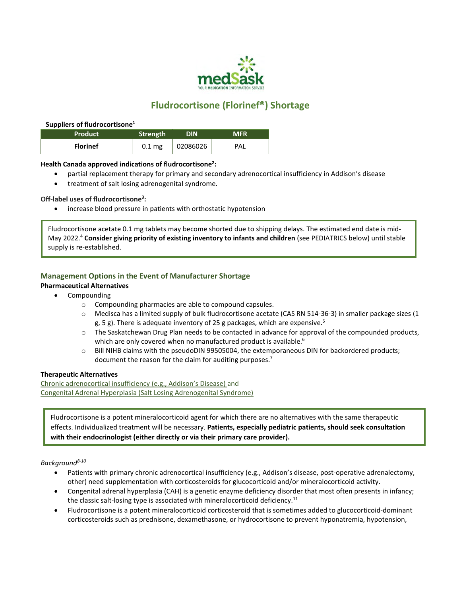

# **Fludrocortisone (Florinef®) Shortage**

#### **Suppliers of fludrocortisone<sup>1</sup>**

| <b>Product</b>  | Strength          | DIN      | <b>MFR</b> |
|-----------------|-------------------|----------|------------|
| <b>Florinef</b> | 0.1 <sub>mg</sub> | 02086026 | PAL        |

#### **Health Canada approved indications of fludrocortisone<sup>2</sup> :**

- partial replacement therapy for primary and secondary adrenocortical insufficiency in Addison's disease
- treatment of salt losing adrenogenital syndrome.

#### **Off-label uses of fludrocortisone<sup>3</sup> :**

increase blood pressure in patients with orthostatic hypotension

Fludrocortisone acetate 0.1 mg tablets may become shorted due to shipping delays. The estimated end date is mid-May 2022.<sup>4</sup> **Consider giving priority of existing inventory to infants and children** (see PEDIATRICS below) until stable supply is re-established.

### **Management Options in the Event of Manufacturer Shortage**

#### **Pharmaceutical Alternatives**

- Compounding
	- o Compounding pharmacies are able to compound capsules.
	- o Medisca has a limited supply of bulk fludrocortisone acetate (CAS RN 514-36-3) in smaller package sizes (1 g, 5 g). There is adequate inventory of 25 g packages, which are expensive.<sup>5</sup>
	- $\circ$  The Saskatchewan Drug Plan needs to be contacted in advance for approval of the compounded products, which are only covered when no manufactured product is available.<sup>6</sup>
	- o Bill NIHB claims with the pseudoDIN 99505004, the extemporaneous DIN for backordered products; document the reason for the claim for auditing purposes.<sup>7</sup>

#### **Therapeutic Alternatives**

Chronic adrenocortical insufficiency (e.g., Addison's Disease) and Congenital Adrenal Hyperplasia (Salt Losing Adrenogenital Syndrome)

Fludrocortisone is a potent mineralocorticoid agent for which there are no alternatives with the same therapeutic effects. Individualized treatment will be necessary. **Patients, especially pediatric patients, should seek consultation with their endocrinologist (either directly or via their primary care provider).**

#### *Background8-10*

- Patients with primary chronic adrenocortical insufficiency (e.g., Addison's disease, post-operative adrenalectomy, other) need supplementation with corticosteroids for glucocorticoid and/or mineralocorticoid activity.
- Congenital adrenal hyperplasia (CAH) is a genetic enzyme deficiency disorder that most often presents in infancy; the classic salt-losing type is associated with mineralocorticoid deficiency.<sup>11</sup>
- Fludrocortisone is a potent mineralocorticoid corticosteroid that is sometimes added to glucocorticoid-dominant corticosteroids such as prednisone, dexamethasone, or hydrocortisone to prevent hyponatremia, hypotension,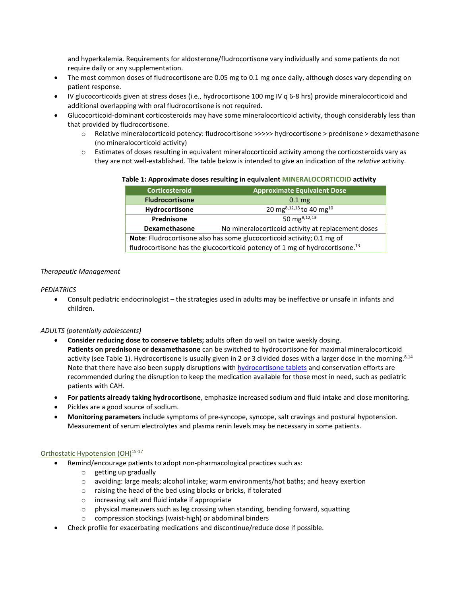and hyperkalemia. Requirements for aldosterone/fludrocortisone vary individually and some patients do not require daily or any supplementation.

- The most common doses of fludrocortisone are 0.05 mg to 0.1 mg once daily, although doses vary depending on patient response.
- IV glucocorticoids given at stress doses (i.e., hydrocortisone 100 mg IV q 6-8 hrs) provide mineralocorticoid and additional overlapping with oral fludrocortisone is not required.
- Glucocorticoid-dominant corticosteroids may have some mineralocorticoid activity, though considerably less than that provided by fludrocortisone.
	- o Relative mineralocorticoid potency: fludrocortisone >>>>> hydrocortisone > prednisone > dexamethasone (no mineralocorticoid activity)
	- o Estimates of doses resulting in equivalent mineralocorticoid activity among the corticosteroids vary as they are not well-established. The table below is intended to give an indication of the *relative* activity.

**Table 1: Approximate doses resulting in equivalent MINERALOCORTICOID activity**

| <b>Corticosteroid</b>                                                                   | <b>Approximate Equivalent Dose</b>                 |  |
|-----------------------------------------------------------------------------------------|----------------------------------------------------|--|
| <b>Fludrocortisone</b>                                                                  | $0.1 \,\mathrm{mg}$                                |  |
| Hydrocortisone                                                                          | 20 mg <sup>8,12,13</sup> to 40 mg <sup>10</sup>    |  |
| Prednisone                                                                              | 50 mg <sup>8,12,13</sup>                           |  |
| <b>Dexamethasone</b>                                                                    | No mineralocorticoid activity at replacement doses |  |
| Note: Fludrocortisone also has some glucocorticoid activity; 0.1 mg of                  |                                                    |  |
| fludrocortisone has the glucocorticoid potency of 1 mg of hydrocortisone. <sup>13</sup> |                                                    |  |

#### *Therapeutic Management*

#### *PEDIATRICS*

 Consult pediatric endocrinologist – the strategies used in adults may be ineffective or unsafe in infants and children.

#### *ADULTS (potentially adolescents)*

- **Consider reducing dose to conserve tablets;** adults often do well on twice weekly dosing. **Patients on prednisone or dexamethasone** can be switched to hydrocortisone for maximal mineralocorticoid activity (see Table 1). Hydrocortisone is usually given in 2 or 3 divided doses with a larger dose in the morning.<sup>8,14</sup> Note that there have also been supply disruptions wit[h hydrocortisone tablets a](https://medsask.usask.ca/documents/drug-shortages-pdfs/hydrocortisone_shortage.pdf)nd conservation efforts are recommended during the disruption to keep the medication available for those most in need, such as pediatric patients with CAH.
- **For patients already taking hydrocortisone**, emphasize increased sodium and fluid intake and close monitoring.
- Pickles are a good source of sodium.
- **Monitoring parameters** include symptoms of pre-syncope, syncope, salt cravings and postural hypotension. Measurement of serum electrolytes and plasma renin levels may be necessary in some patients.

#### Orthostatic Hypotension (OH)<sup>15-17</sup>

- Remind/encourage patients to adopt non-pharmacological practices such as:
	- o getting up gradually
	- $\circ$  avoiding: large meals; alcohol intake; warm environments/hot baths; and heavy exertion
	- o raising the head of the bed using blocks or bricks, if tolerated
	- o increasing salt and fluid intake if appropriate
	- o physical maneuvers such as leg crossing when standing, bending forward, squatting
	- o compression stockings (waist-high) or abdominal binders
- Check profile for exacerbating medications and discontinue/reduce dose if possible.